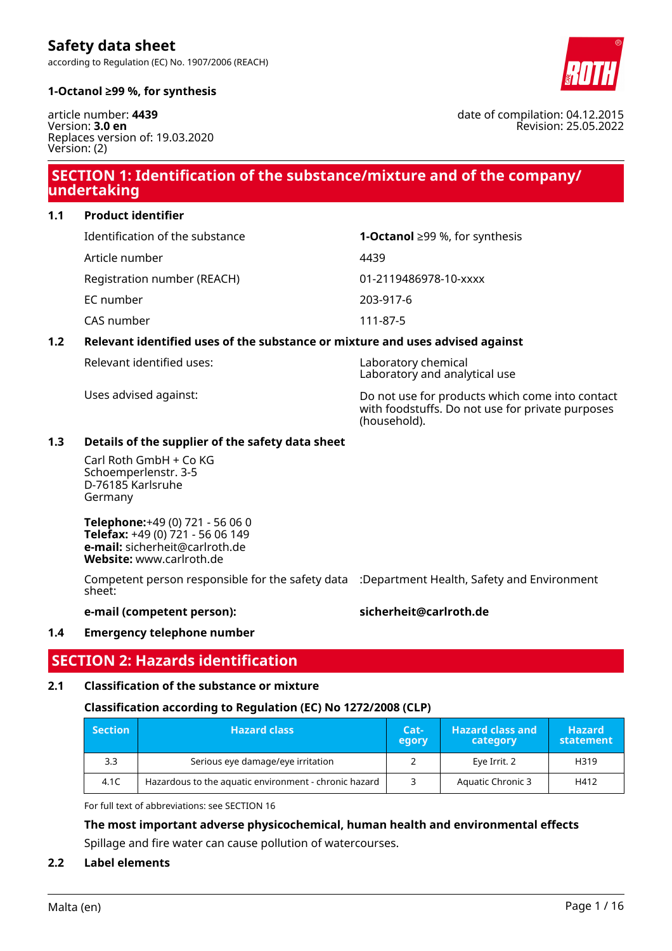

#### **1-Octanol ≥99 %, for synthesis**

**Safety data sheet**

article number: **4439** Version: **3.0 en** Replaces version of: 19.03.2020 Version: (2)

### **SECTION 1: Identification of the substance/mixture and of the company/ undertaking**

**1.1 Product identifier**

| Identification of the substance | <b>1-Octanol</b> ≥99 %, for synthesis |
|---------------------------------|---------------------------------------|
| Article number                  | 4439                                  |
| Registration number (REACH)     | 01-2119486978-10-xxxx                 |
| EC number                       | 203-917-6                             |
| CAS number                      | 111-87-5                              |

#### **1.2 Relevant identified uses of the substance or mixture and uses advised against**

Relevant identified uses: Laboratory chemical

Uses advised against: Do not use for products which come into contact with foodstuffs. Do not use for private purposes (household).

Laboratory and analytical use

#### **1.3 Details of the supplier of the safety data sheet**

Carl Roth GmbH + Co KG Schoemperlenstr. 3-5 D-76185 Karlsruhe Germany

**Telephone:**+49 (0) 721 - 56 06 0 **Telefax:** +49 (0) 721 - 56 06 149 **e-mail:** sicherheit@carlroth.de **Website:** www.carlroth.de

Competent person responsible for the safety data :Department Health, Safety and Environment sheet:

#### **e-mail (competent person): sicherheit@carlroth.de**

#### **1.4 Emergency telephone number**

### **SECTION 2: Hazards identification**

#### **2.1 Classification of the substance or mixture**

#### **Classification according to Regulation (EC) No 1272/2008 (CLP)**

| $\blacksquare$ Section | <b>Hazard class</b>                                   |  | <b>Hazard class and</b><br>category | <b>Hazard</b><br>statement |
|------------------------|-------------------------------------------------------|--|-------------------------------------|----------------------------|
| 3.3                    | Serious eye damage/eye irritation                     |  | Eye Irrit. 2                        | H319                       |
| 4.1C                   | Hazardous to the aquatic environment - chronic hazard |  | Aquatic Chronic 3                   | H412                       |

For full text of abbreviations: see SECTION 16

**The most important adverse physicochemical, human health and environmental effects** Spillage and fire water can cause pollution of watercourses.

#### **2.2 Label elements**

date of compilation: 04.12.2015 Revision: 25.05.2022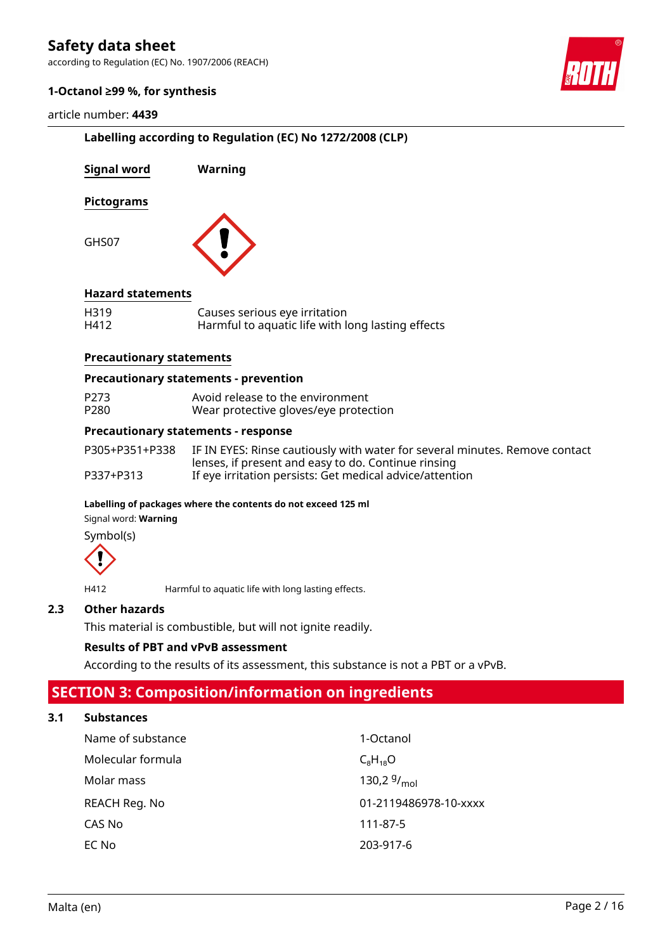according to Regulation (EC) No. 1907/2006 (REACH)



#### **1-Octanol ≥99 %, for synthesis**

#### article number: **4439**

|                                   | Labelling according to Regulation (EC) No 1272/2008 (CLP)                                                                          |  |  |  |  |
|-----------------------------------|------------------------------------------------------------------------------------------------------------------------------------|--|--|--|--|
| <b>Signal word</b>                | Warning                                                                                                                            |  |  |  |  |
| <b>Pictograms</b>                 |                                                                                                                                    |  |  |  |  |
| GHS07                             |                                                                                                                                    |  |  |  |  |
| <b>Hazard statements</b>          |                                                                                                                                    |  |  |  |  |
| H319<br>H412                      | Causes serious eye irritation<br>Harmful to aquatic life with long lasting effects                                                 |  |  |  |  |
| <b>Precautionary statements</b>   |                                                                                                                                    |  |  |  |  |
|                                   | <b>Precautionary statements - prevention</b>                                                                                       |  |  |  |  |
| P273<br>P280                      | Avoid release to the environment<br>Wear protective gloves/eye protection                                                          |  |  |  |  |
|                                   | <b>Precautionary statements - response</b>                                                                                         |  |  |  |  |
| P305+P351+P338                    | IF IN EYES: Rinse cautiously with water for several minutes. Remove contact<br>lenses, if present and easy to do. Continue rinsing |  |  |  |  |
| P337+P313                         | If eye irritation persists: Get medical advice/attention                                                                           |  |  |  |  |
| Signal word: Warning<br>Symbol(s) | Labelling of packages where the contents do not exceed 125 ml                                                                      |  |  |  |  |
|                                   |                                                                                                                                    |  |  |  |  |
| H412                              | Harmful to aquatic life with long lasting effects.                                                                                 |  |  |  |  |
| <b>Other hazards</b>              |                                                                                                                                    |  |  |  |  |
|                                   | This material is combustible, but will not ignite readily.                                                                         |  |  |  |  |
|                                   | <b>Results of PBT and vPvB assessment</b>                                                                                          |  |  |  |  |

According to the results of its assessment, this substance is not a PBT or a vPvB.

# **SECTION 3: Composition/information on ingredients**

### **3.1 Substances**

**2.3 Other hazards**

| Name of substance | 1-Octanol             |
|-------------------|-----------------------|
| Molecular formula | $C_8H_{18}O$          |
| Molar mass        | 130,2 $9/_{mol}$      |
| REACH Reg. No     | 01-2119486978-10-xxxx |
| CAS No            | 111-87-5              |
| EC No             | 203-917-6             |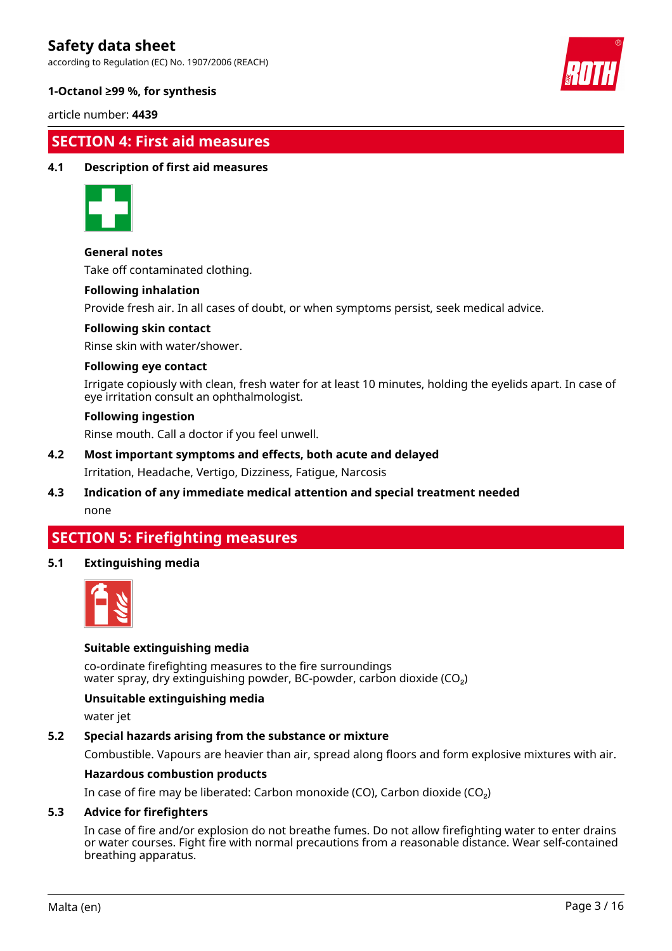according to Regulation (EC) No. 1907/2006 (REACH)



#### **1-Octanol ≥99 %, for synthesis**

article number: **4439**

### **SECTION 4: First aid measures**

#### **4.1 Description of first aid measures**



#### **General notes**

Take off contaminated clothing.

#### **Following inhalation**

Provide fresh air. In all cases of doubt, or when symptoms persist, seek medical advice.

#### **Following skin contact**

Rinse skin with water/shower.

#### **Following eye contact**

Irrigate copiously with clean, fresh water for at least 10 minutes, holding the eyelids apart. In case of eye irritation consult an ophthalmologist.

#### **Following ingestion**

Rinse mouth. Call a doctor if you feel unwell.

- **4.2 Most important symptoms and effects, both acute and delayed** Irritation, Headache, Vertigo, Dizziness, Fatigue, Narcosis
- **4.3 Indication of any immediate medical attention and special treatment needed** none

## **SECTION 5: Firefighting measures**

#### **5.1 Extinguishing media**



#### **Suitable extinguishing media**

co-ordinate firefighting measures to the fire surroundings water spray, dry extinguishing powder, BC-powder, carbon dioxide (CO<sub>2</sub>)

#### **Unsuitable extinguishing media**

water jet

#### **5.2 Special hazards arising from the substance or mixture**

Combustible. Vapours are heavier than air, spread along floors and form explosive mixtures with air.

#### **Hazardous combustion products**

In case of fire may be liberated: Carbon monoxide (CO), Carbon dioxide (CO₂)

#### **5.3 Advice for firefighters**

In case of fire and/or explosion do not breathe fumes. Do not allow firefighting water to enter drains or water courses. Fight fire with normal precautions from a reasonable distance. Wear self-contained breathing apparatus.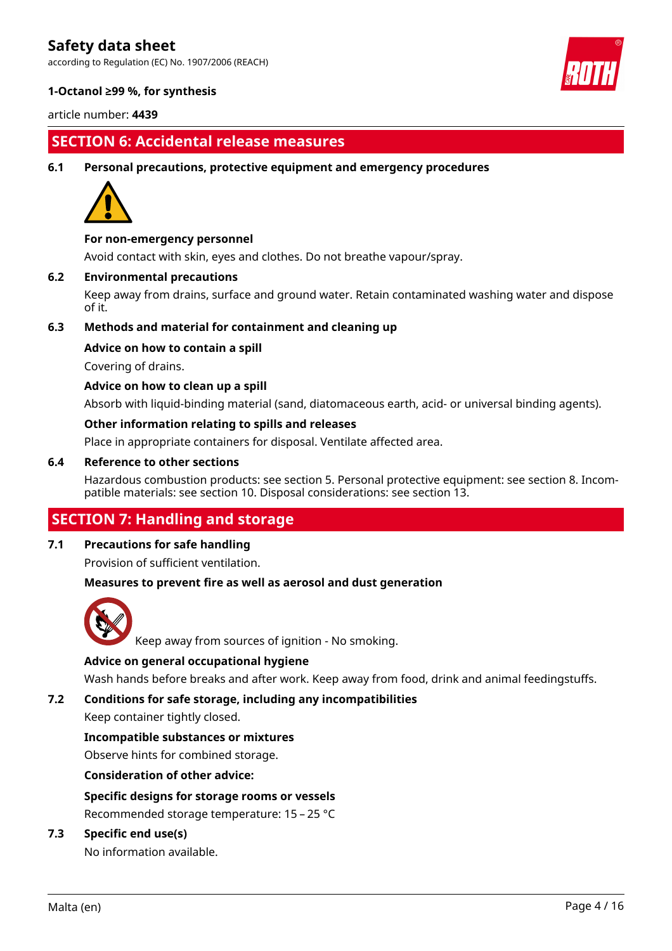according to Regulation (EC) No. 1907/2006 (REACH)



#### **1-Octanol ≥99 %, for synthesis**

article number: **4439**

### **SECTION 6: Accidental release measures**

**6.1 Personal precautions, protective equipment and emergency procedures**



#### **For non-emergency personnel**

Avoid contact with skin, eyes and clothes. Do not breathe vapour/spray.

#### **6.2 Environmental precautions**

Keep away from drains, surface and ground water. Retain contaminated washing water and dispose of it.

#### **6.3 Methods and material for containment and cleaning up**

#### **Advice on how to contain a spill**

Covering of drains.

#### **Advice on how to clean up a spill**

Absorb with liquid-binding material (sand, diatomaceous earth, acid- or universal binding agents).

#### **Other information relating to spills and releases**

Place in appropriate containers for disposal. Ventilate affected area.

#### **6.4 Reference to other sections**

Hazardous combustion products: see section 5. Personal protective equipment: see section 8. Incompatible materials: see section 10. Disposal considerations: see section 13.

### **SECTION 7: Handling and storage**

#### **7.1 Precautions for safe handling**

Provision of sufficient ventilation.

#### **Measures to prevent fire as well as aerosol and dust generation**



Keep away from sources of ignition - No smoking.

#### **Advice on general occupational hygiene**

Wash hands before breaks and after work. Keep away from food, drink and animal feedingstuffs.

#### **7.2 Conditions for safe storage, including any incompatibilities**

Keep container tightly closed.

#### **Incompatible substances or mixtures**

Observe hints for combined storage.

#### **Consideration of other advice:**

### **Specific designs for storage rooms or vessels**

Recommended storage temperature: 15 – 25 °C

#### **7.3 Specific end use(s)**

No information available.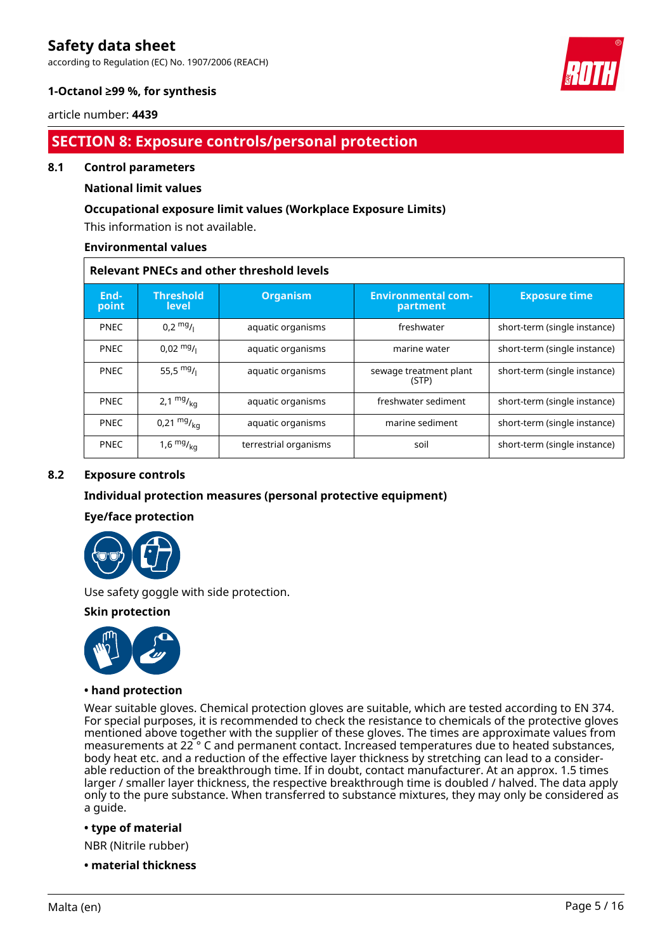according to Regulation (EC) No. 1907/2006 (REACH)



#### **1-Octanol ≥99 %, for synthesis**

#### article number: **4439**

## **SECTION 8: Exposure controls/personal protection**

#### **8.1 Control parameters**

#### **National limit values**

#### **Occupational exposure limit values (Workplace Exposure Limits)**

This information is not available.

#### **Environmental values**

| <b>Relevant PNECs and other threshold levels</b> |                           |                       |                                       |                              |  |  |
|--------------------------------------------------|---------------------------|-----------------------|---------------------------------------|------------------------------|--|--|
| End-<br>point                                    | <b>Threshold</b><br>level | <b>Organism</b>       | <b>Environmental com-</b><br>partment | <b>Exposure time</b>         |  |  |
| <b>PNEC</b>                                      | $0.2 \frac{mg}{l}$        | aquatic organisms     | freshwater                            | short-term (single instance) |  |  |
| <b>PNEC</b>                                      | $0,02 \frac{mg}{l}$       | aquatic organisms     | marine water                          | short-term (single instance) |  |  |
| <b>PNEC</b>                                      | 55,5 $mg/1$               | aquatic organisms     | sewage treatment plant<br>(STP)       | short-term (single instance) |  |  |
| <b>PNEC</b>                                      | 2,1 $mg/_{kq}$            | aquatic organisms     | freshwater sediment                   | short-term (single instance) |  |  |
| <b>PNEC</b>                                      | $0,21 \frac{mg}{kg}$      | aquatic organisms     | marine sediment                       | short-term (single instance) |  |  |
| <b>PNEC</b>                                      | $1,6$ mg $V_{\text{kg}}$  | terrestrial organisms | soil                                  | short-term (single instance) |  |  |

#### **8.2 Exposure controls**

#### **Individual protection measures (personal protective equipment)**

#### **Eye/face protection**



Use safety goggle with side protection.

#### **Skin protection**



#### **• hand protection**

Wear suitable gloves. Chemical protection gloves are suitable, which are tested according to EN 374. For special purposes, it is recommended to check the resistance to chemicals of the protective gloves mentioned above together with the supplier of these gloves. The times are approximate values from measurements at 22 ° C and permanent contact. Increased temperatures due to heated substances, body heat etc. and a reduction of the effective layer thickness by stretching can lead to a considerable reduction of the breakthrough time. If in doubt, contact manufacturer. At an approx. 1.5 times larger / smaller layer thickness, the respective breakthrough time is doubled / halved. The data apply only to the pure substance. When transferred to substance mixtures, they may only be considered as a guide.

#### **• type of material**

NBR (Nitrile rubber)

**• material thickness**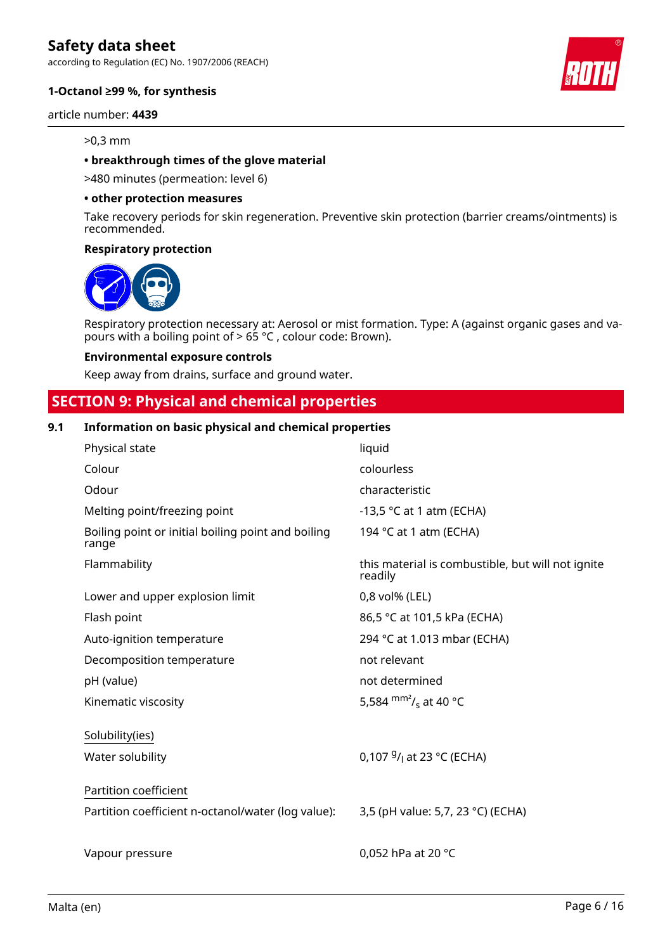according to Regulation (EC) No. 1907/2006 (REACH)

#### **1-Octanol ≥99 %, for synthesis**

article number: **4439**

#### >0,3 mm

#### **• breakthrough times of the glove material**

>480 minutes (permeation: level 6)

#### **• other protection measures**

Take recovery periods for skin regeneration. Preventive skin protection (barrier creams/ointments) is recommended.

#### **Respiratory protection**



Respiratory protection necessary at: Aerosol or mist formation. Type: A (against organic gases and vapours with a boiling point of > 65 °C , colour code: Brown).

#### **Environmental exposure controls**

Keep away from drains, surface and ground water.

### **SECTION 9: Physical and chemical properties**

#### **9.1 Information on basic physical and chemical properties**

| Physical state                                              | liquid                                                       |
|-------------------------------------------------------------|--------------------------------------------------------------|
| Colour                                                      | colourless                                                   |
| Odour                                                       | characteristic                                               |
| Melting point/freezing point                                | -13,5 $\degree$ C at 1 atm (ECHA)                            |
| Boiling point or initial boiling point and boiling<br>range | 194 °C at 1 atm (ECHA)                                       |
| Flammability                                                | this material is combustible, but will not ignite<br>readily |
| Lower and upper explosion limit                             | 0,8 vol% (LEL)                                               |
| Flash point                                                 | 86,5 °C at 101,5 kPa (ECHA)                                  |
| Auto-ignition temperature                                   | 294 °C at 1.013 mbar (ECHA)                                  |
| Decomposition temperature                                   | not relevant                                                 |
| pH (value)                                                  | not determined                                               |
| Kinematic viscosity                                         | 5,584 $\text{mm}^2$ / <sub>s</sub> at 40 °C                  |
| Solubility(ies)                                             |                                                              |
| Water solubility                                            | 0,107 $9/1$ at 23 °C (ECHA)                                  |
| Partition coefficient                                       |                                                              |
| Partition coefficient n-octanol/water (log value):          | 3,5 (pH value: 5,7, 23 °C) (ECHA)                            |
|                                                             |                                                              |
| Vapour pressure                                             | 0,052 hPa at 20 °C                                           |

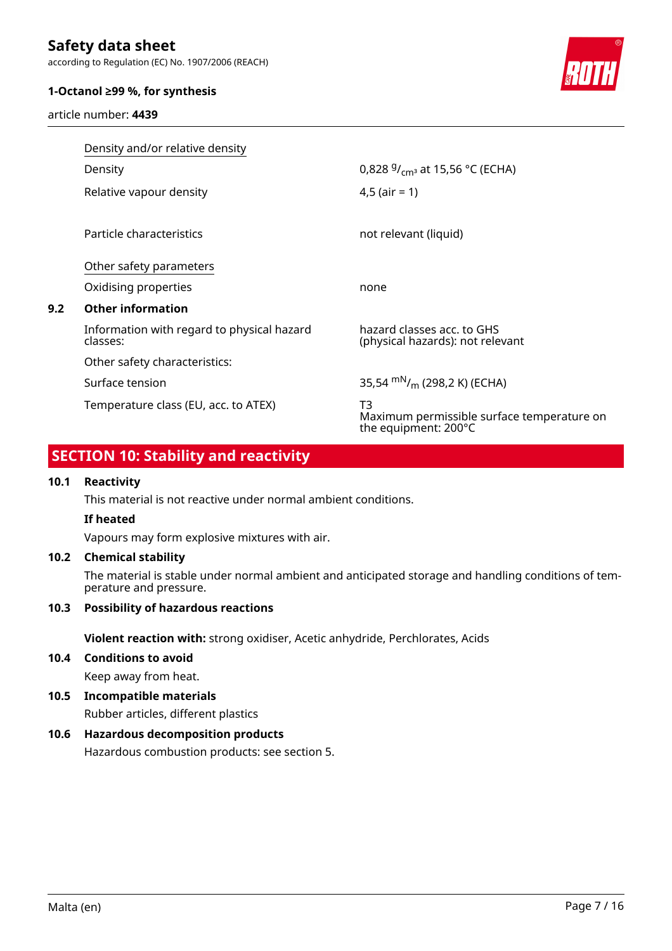according to Regulation (EC) No. 1907/2006 (REACH)

#### **1-Octanol ≥99 %, for synthesis**

article number: **4439**



|     | Density and/or relative density                        |                                                                          |
|-----|--------------------------------------------------------|--------------------------------------------------------------------------|
|     | Density                                                | 0,828 $9/_{cm^3}$ at 15,56 °C (ECHA)                                     |
|     | Relative vapour density                                | $4,5$ (air = 1)                                                          |
|     | Particle characteristics                               | not relevant (liquid)                                                    |
|     | Other safety parameters                                |                                                                          |
|     | Oxidising properties                                   | none                                                                     |
| 9.2 | <b>Other information</b>                               |                                                                          |
|     | Information with regard to physical hazard<br>classes: | hazard classes acc. to GHS<br>(physical hazards): not relevant           |
|     | Other safety characteristics:                          |                                                                          |
|     | Surface tension                                        | 35,54 $\rm{mN/m}$ (298,2 K) (ECHA)                                       |
|     | Temperature class (EU, acc. to ATEX)                   | T3<br>Maximum permissible surface temperature on<br>the equipment: 200°C |

# **SECTION 10: Stability and reactivity**

#### **10.1 Reactivity**

This material is not reactive under normal ambient conditions.

#### **If heated**

Vapours may form explosive mixtures with air.

#### **10.2 Chemical stability**

The material is stable under normal ambient and anticipated storage and handling conditions of temperature and pressure.

#### **10.3 Possibility of hazardous reactions**

**Violent reaction with:** strong oxidiser, Acetic anhydride, Perchlorates, Acids

- **10.4 Conditions to avoid** Keep away from heat.
- **10.5 Incompatible materials**

Rubber articles, different plastics

### **10.6 Hazardous decomposition products**

Hazardous combustion products: see section 5.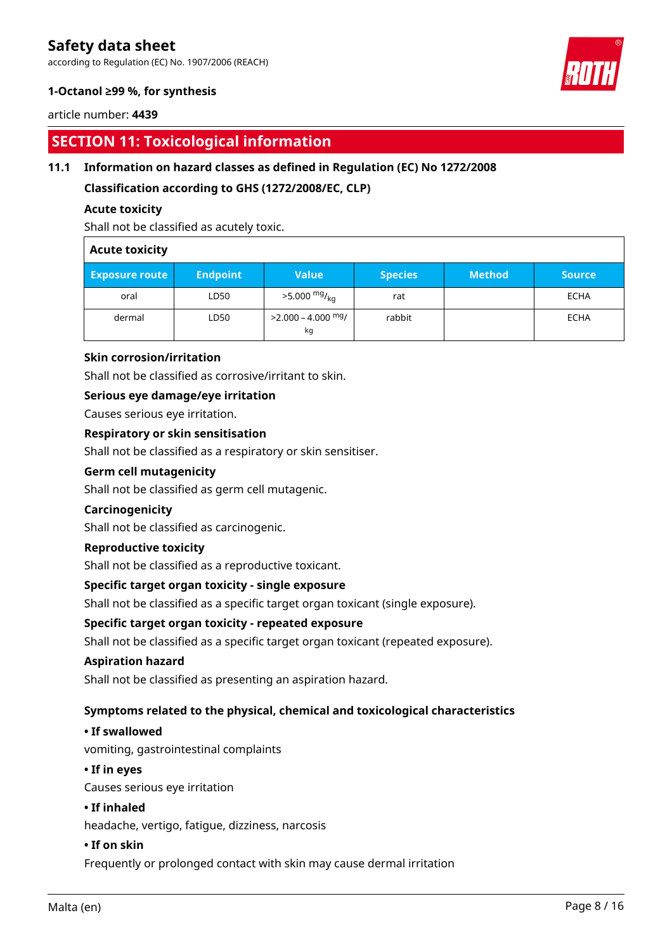according to Regulation (EC) No. 1907/2006 (REACH)

### **1-Octanol ≥99 %, for synthesis**

#### article number: **4439**

## **SECTION 11: Toxicological information**

### **11.1 Information on hazard classes as defined in Regulation (EC) No 1272/2008**

**Classification according to GHS (1272/2008/EC, CLP)**

#### **Acute toxicity**

Shall not be classified as acutely toxic.

#### **Acute toxicity**

| <b>Exposure route</b> | <b>Endpoint</b> | <b>Value</b>                         | <b>Species</b> | <b>Method</b> | <b>Source</b> |
|-----------------------|-----------------|--------------------------------------|----------------|---------------|---------------|
| oral                  | LD50            | $>5.000$ mg/ <sub>kg</sub>           | rat            |               | ECHA          |
| dermal                | LD50            | >2.000 – 4.000 <sup>mg</sup> /<br>kg | rabbit         |               | <b>ECHA</b>   |

#### **Skin corrosion/irritation**

Shall not be classified as corrosive/irritant to skin.

#### **Serious eye damage/eye irritation**

Causes serious eye irritation.

#### **Respiratory or skin sensitisation**

Shall not be classified as a respiratory or skin sensitiser.

Shall not be classified as germ cell mutagenic.

#### **Carcinogenicity**

Shall not be classified as carcinogenic.

#### **Reproductive toxicity**

**Germ cell mutagenicity**

Shall not be classified as a reproductive toxicant.

#### **Specific target organ toxicity - single exposure**

Shall not be classified as a specific target organ toxicant (single exposure).

#### **Specific target organ toxicity - repeated exposure**

Shall not be classified as a specific target organ toxicant (repeated exposure).

#### **Aspiration hazard**

Shall not be classified as presenting an aspiration hazard.

### **Symptoms related to the physical, chemical and toxicological characteristics**

#### **• If swallowed**

vomiting, gastrointestinal complaints

### **• If in eyes**

Causes serious eye irritation

#### **• If inhaled**

headache, vertigo, fatigue, dizziness, narcosis

#### **• If on skin**

Frequently or prolonged contact with skin may cause dermal irritation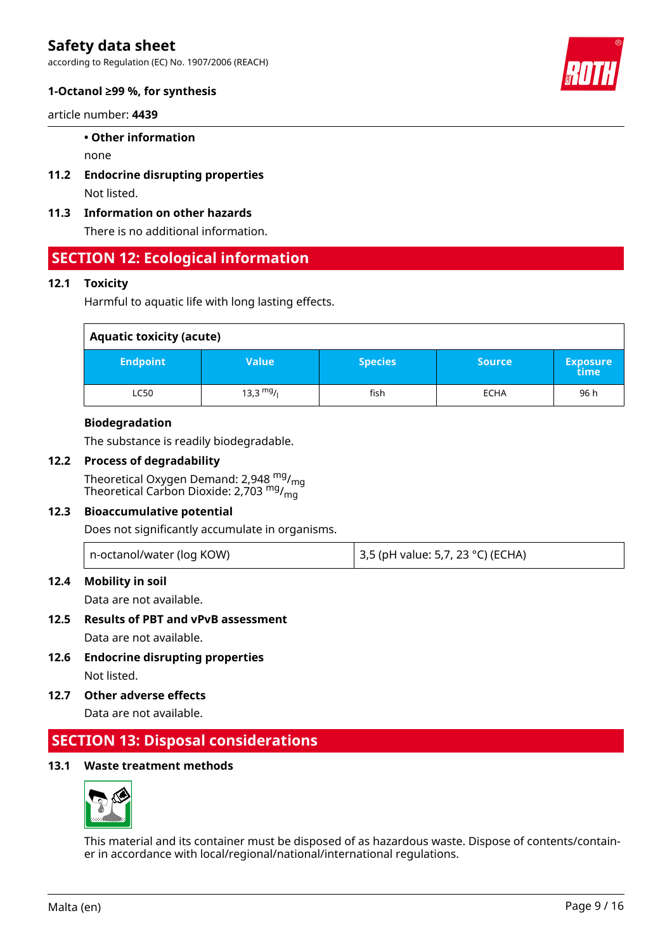according to Regulation (EC) No. 1907/2006 (REACH)



#### **1-Octanol ≥99 %, for synthesis**

article number: **4439**

#### **• Other information**

none

- **11.2 Endocrine disrupting properties** Not listed.
- **11.3 Information on other hazards**

There is no additional information.

### **SECTION 12: Ecological information**

#### **12.1 Toxicity**

Harmful to aquatic life with long lasting effects.

| <b>Aquatic toxicity (acute)</b> |                     |                |               |                         |  |  |
|---------------------------------|---------------------|----------------|---------------|-------------------------|--|--|
| <b>Endpoint</b>                 | <b>Value</b>        | <b>Species</b> | <b>Source</b> | <b>Exposure</b><br>time |  |  |
| <b>LC50</b>                     | $13,3 \frac{mg}{l}$ | fish           | <b>ECHA</b>   | 96 h                    |  |  |

#### **Biodegradation**

The substance is readily biodegradable.

#### **12.2 Process of degradability**

Theoretical Oxygen Demand: 2,948 mg/mg Theoretical Carbon Dioxide: 2,703  $^{\mathsf{mg}}\prime_{\mathsf{mg}}$ 

#### **12.3 Bioaccumulative potential**

Does not significantly accumulate in organisms.

|  | n-octanol/water (log KOW) | 3,5 (pH value: 5,7, 23 °C) (ECHA) |
|--|---------------------------|-----------------------------------|
|--|---------------------------|-----------------------------------|

#### **12.4 Mobility in soil**

Data are not available.

#### **12.5 Results of PBT and vPvB assessment**

Data are not available.

- **12.6 Endocrine disrupting properties** Not listed.
- **12.7 Other adverse effects**

Data are not available.

### **SECTION 13: Disposal considerations**

### **13.1 Waste treatment methods**



This material and its container must be disposed of as hazardous waste. Dispose of contents/container in accordance with local/regional/national/international regulations.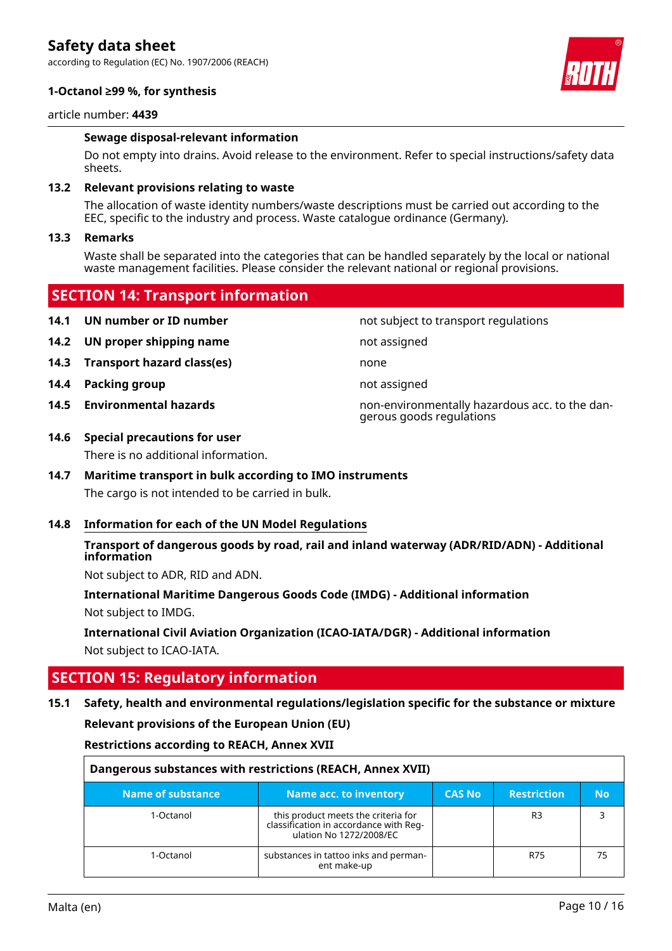according to Regulation (EC) No. 1907/2006 (REACH)

#### **1-Octanol ≥99 %, for synthesis**



#### article number: **4439**

#### **Sewage disposal-relevant information**

Do not empty into drains. Avoid release to the environment. Refer to special instructions/safety data sheets.

#### **13.2 Relevant provisions relating to waste**

The allocation of waste identity numbers/waste descriptions must be carried out according to the EEC, specific to the industry and process. Waste catalogue ordinance (Germany).

#### **13.3 Remarks**

Waste shall be separated into the categories that can be handled separately by the local or national waste management facilities. Please consider the relevant national or regional provisions.

### **SECTION 14: Transport information**

- **14.1 UN number or ID number not subject to transport regulations**
- **14.2 UN proper shipping name** not assigned
- **14.3 Transport hazard class(es)** none
- **14.4 Packing group not assigned**
- 

**14.5 Environmental hazards** non-environmentally hazardous acc. to the dangerous goods regulations

#### **14.6 Special precautions for user**

There is no additional information.

### **14.7 Maritime transport in bulk according to IMO instruments**

The cargo is not intended to be carried in bulk.

#### **14.8 Information for each of the UN Model Regulations**

#### **Transport of dangerous goods by road, rail and inland waterway (ADR/RID/ADN) - Additional information**

Not subject to ADR, RID and ADN.

**International Maritime Dangerous Goods Code (IMDG) - Additional information** Not subject to IMDG.

**International Civil Aviation Organization (ICAO-IATA/DGR) - Additional information** Not subject to ICAO-IATA.

### **SECTION 15: Regulatory information**

### **15.1 Safety, health and environmental regulations/legislation specific for the substance or mixture Relevant provisions of the European Union (EU)**

**Restrictions according to REACH, Annex XVII**

| Dangerous substances with restrictions (REACH, Annex XVII) |                                                                                                          |               |                    |     |  |
|------------------------------------------------------------|----------------------------------------------------------------------------------------------------------|---------------|--------------------|-----|--|
| Name of substance                                          | Name acc. to inventory                                                                                   | <b>CAS No</b> | <b>Restriction</b> | No. |  |
| 1-Octanol                                                  | this product meets the criteria for<br>classification in accordance with Reg-<br>ulation No 1272/2008/EC |               | R <sub>3</sub>     |     |  |
| 1-Octanol                                                  | substances in tattoo inks and perman-<br>ent make-up                                                     |               | <b>R75</b>         | 75  |  |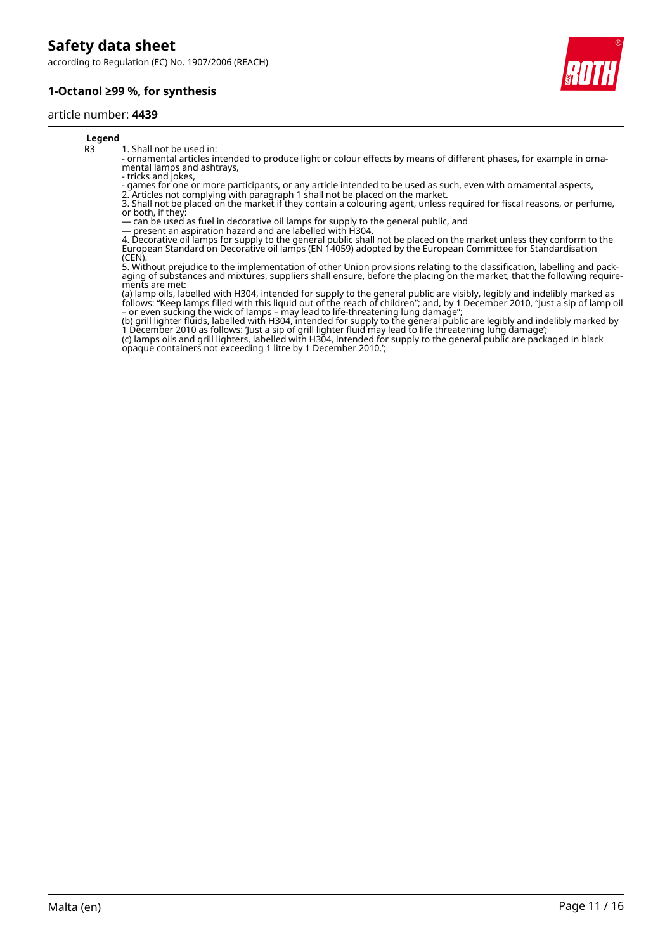according to Regulation (EC) No. 1907/2006 (REACH)





#### **Legend**

R3 1. Shall not be used in:

- ornamental articles intended to produce light or colour effects by means of different phases, for example in ornamental lamps and ashtrays,

- tricks and jokes,

- games for one or more participants, or any article intended to be used as such, even with ornamental aspects,

2. Articles not complying with paragraph 1 shall not be placed on the market. 3. Shall not be placed on the market if they contain a colouring agent, unless required for fiscal reasons, or perfume, or both, if they:

— can be used as fuel in decorative oil lamps for supply to the general public, and

— present an aspiration hazard and are labelled with H304.

4. Decorative oil lamps for supply to the general public shall not be placed on the market unless they conform to the European Standard on Decorative oil lamps (EN 14059) adopted by the European Committee for Standardisation (CEN).

5. Without prejudice to the implementation of other Union provisions relating to the classification, labelling and packaging of substances and mixtures, suppliers shall ensure, before the placing on the market, that the following requirements are met:

(a) lamp oils, labelled with H304, intended for supply to the general public are visibly, legibly and indelibly marked as follows: "Keep lamps filled with this liquid out of the reach of children"; and, by 1 December 2010, "Just a sip of lamp oil – or even sucking the wick of lamps – may lead to life-threatening lung damage";

(b) grill lighter fluids, labelled with H304, intended for supply to the general public are legibly and indelibly marked by 1 December 2010 as follows: 'Just a sip of grill lighter fluid may lead to life threatening lung damage'; (c) lamps oils and grill lighters, labelled with H304, intended for supply to the general public are packaged in black

opaque containers not exceeding 1 litre by 1 December 2010.';

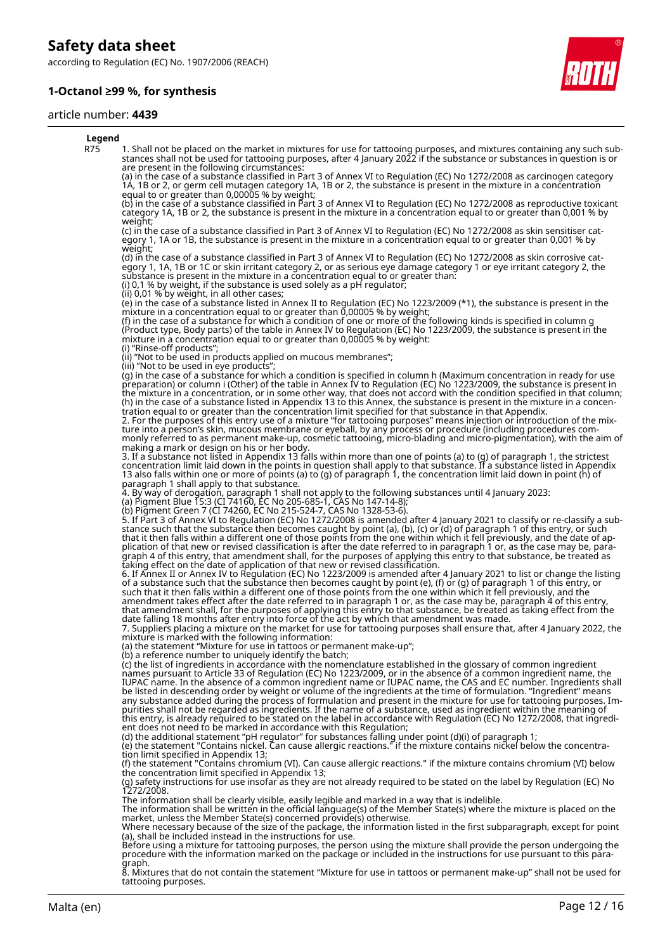according to Regulation (EC) No. 1907/2006 (REACH)

#### **1-Octanol ≥99 %, for synthesis**

#### article number: **4439**



#### **Legend** R75 1. Shall not be placed on the market in mixtures for use for tattooing purposes, and mixtures containing any such substances shall not be used for tattooing purposes, after 4 January 2022 if the substance or substances in question is or are present in the following circumstances: (a) in the case of a substance classified in Part 3 of Annex VI to Regulation (EC) No 1272/2008 as carcinogen category 1A, 1B or 2, or germ cell mutagen category 1A, 1B or 2, the substance is present in the mixture in a concentration equal to or greater than 0,00005 % by weight; (b) in the case of a substance classified in Part 3 of Annex VI to Regulation (EC) No 1272/2008 as reproductive toxicant category 1A, 1B or 2, the substance is present in the mixture in a concentration equal to or greater than 0,001 % by weight; (c) in the case of a substance classified in Part 3 of Annex VI to Regulation (EC) No 1272/2008 as skin sensitiser category 1, 1A or 1B, the substance is present in the mixture in a concentration equal to or greater than 0,001 % by weight; (d) in the case of a substance classified in Part 3 of Annex VI to Regulation (EC) No 1272/2008 as skin corrosive category 1, 1A, 1B or 1C or skin irritant category 2, or as serious eye damage category 1 or eye irritant category 2, the substance is present in the mixture in a concentration equal to or greater than: (i) 0,1 % by weight, if the substance is used solely as a pH regulator; (ii) 0,01 % by weight, in all other cases; (e) in the case of a substance listed in Annex II to Regulation (EC) No 1223/2009 (\*1), the substance is present in the mixture in a concentration equal to or greater than 0,00005 % by weight; (f) in the case of a substance for which a condition of one or more of the following kinds is specified in column g (Product type, Body parts) of the table in Annex IV to Regulation (EC) No 1223/2009, the substance is present in the mixture in a concentration equal to or greater than 0,00005 % by weight: (i) "Rinse-off products"; (ii) "Not to be used in products applied on mucous membranes"; (iii) "Not to be used in eye products"; (g) in the case of a substance for which a condition is specified in column h (Maximum concentration in ready for use preparation) or column i (Other) of the table in Annex IV to Regulation (EC) No 1223/2009, the substance is present in the mixture in a concentration, or in some other way, that does not accord with the condition specified in that column; (h) in the case of a substance listed in Appendix 13 to this Annex, the substance is present in the mixture in a concentration equal to or greater than the concentration limit specified for that substance in that Appendix. 2. For the purposes of this entry use of a mixture "for tattooing purposes" means injection or introduction of the mixture into a person's skin, mucous membrane or eyeball, by any process or procedure (including procedures commonly referred to as permanent make-up, cosmetic tattooing, micro-blading and micro-pigmentation), with the aim of making a mark or design on his or her body. 3. If a substance not listed in Appendix 13 falls within more than one of points (a) to (g) of paragraph 1, the strictest concentration limit laid down in the points in question shall apply to that substance. If a substance listed in Appendix 13 also falls within one or more of points (a) to (g) of paragraph 1, the concentration limit laid down in point (h) of paragraph 1 shall apply to that substance. 4. By way of derogation, paragraph 1 shall not apply to the following substances until 4 January 2023: (a) Pigment Blue 15:3 (CI 74160, EC No 205-685-1, CAS No 147-14-8); (b) Pigment Green 7 (CI 74260, EC No 215-524-7, CAS No 1328-53-6). 5. If Part 3 of Annex VI to Regulation (EC) No 1272/2008 is amended after 4 January 2021 to classify or re-classify a substance such that the substance then becomes caught by point (a), (b), (c) or (d) of paragraph 1 of this entry, or such that it then falls within a different one of those points from the one within which it fell previously, and the date of application of that new or revised classification is after the date referred to in paragraph 1 or, as the case may be, paragraph 4 of this entry, that amendment shall, for the purposes of applying this entry to that substance, be treated as taking effect on the date of application of that new or revised classification. 6. If Annex II or Annex IV to Regulation (EC) No 1223/2009 is amended after 4 January 2021 to list or change the listing of a substance such that the substance then becomes caught by point (e), (f) or (g) of paragraph 1 of this entry, or such that it then falls within a different one of those points from the one within which it fell previously, and the amendment takes effect after the date referred to in paragraph 1 or, as the case may be, paragraph 4 of this entry, that amendment shall, for the purposes of applying this entry to that substance, be treated as taking effect from the date falling 18 months after entry into force of the act by which that amendment was made. 7. Suppliers placing a mixture on the market for use for tattooing purposes shall ensure that, after 4 January 2022, the mixture is marked with the following information: (a) the statement "Mixture for use in tattoos or permanent make-up"; (b) a reference number to uniquely identify the batch; (c) the list of ingredients in accordance with the nomenclature established in the glossary of common ingredient names pursuant to Article 33 of Regulation (EC) No 1223/2009, or in the absence of a common ingredient name, the IUPAC name. In the absence of a common ingredient name or IUPAC name, the CAS and EC number. Ingredients shall be listed in descending order by weight or volume of the ingredients at the time of formulation. "Ingredient" means any substance added during the process of formulation and present in the mixture for use for tattooing purposes. Impurities shall not be regarded as ingredients. If the name of a substance, used as ingredient within the meaning of this entry, is already required to be stated on the label in accordance with Regulation (EC) No 1272/2008, that ingredient does not need to be marked in accordance with this Regulation; (d) the additional statement "pH regulator" for substances falling under point (d)(i) of paragraph 1; (e) the statement "Contains nickel. Can cause allergic reactions." if the mixture contains nickel below the concentration limit specified in Appendix 13; (f) the statement "Contains chromium (VI). Can cause allergic reactions." if the mixture contains chromium (VI) below the concentration limit specified in Appendix 13; (g) safety instructions for use insofar as they are not already required to be stated on the label by Regulation (EC) No 1272/2008. The information shall be clearly visible, easily legible and marked in a way that is indelible.<br>The information shall be written in the official language(s) of the Member State(s) where the mixture is placed on the<br>market, Where necessary because of the size of the package, the information listed in the first subparagraph, except for point (a), shall be included instead in the instructions for use. Before using a mixture for tattooing purposes, the person using the mixture shall provide the person undergoing the procedure with the information marked on the package or included in the instructions for use pursuant to this para-

graph. 8. Mixtures that do not contain the statement "Mixture for use in tattoos or permanent make-up" shall not be used for tattooing purposes.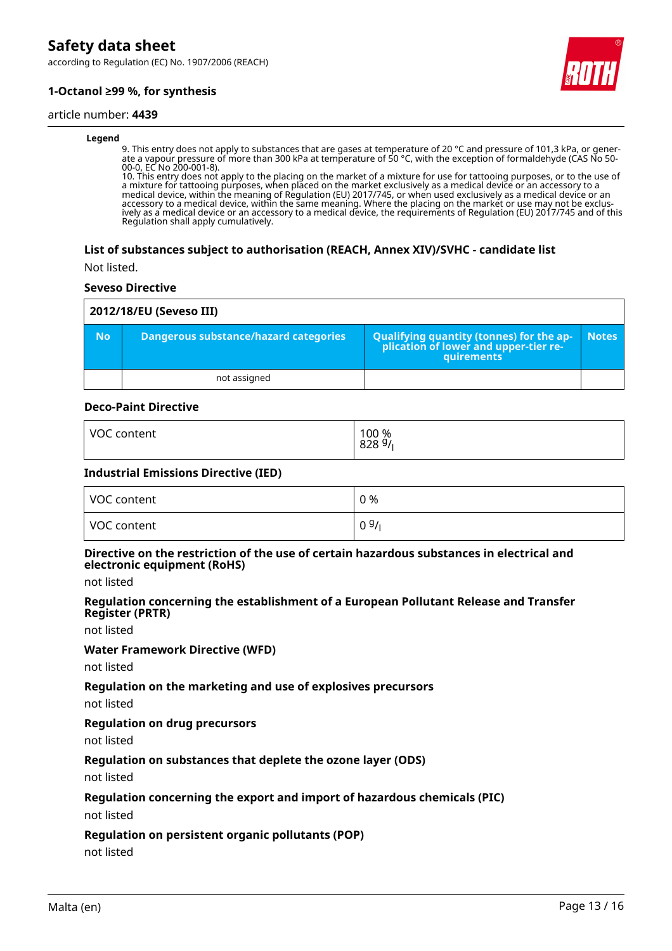according to Regulation (EC) No. 1907/2006 (REACH)

### **1-Octanol ≥99 %, for synthesis**

#### article number: **4439**

#### **Legend**

9. This entry does not apply to substances that are gases at temperature of 20 °C and pressure of 101,3 kPa, or generate a vapour pressure of more than 300 kPa at temperature of 50 °C, with the exception of formaldehyde (CAS No 50- 00-0, EC No 200-001-8).

10. This entry does not apply to the placing on the market of a mixture for use for tattooing purposes, or to the use of a mixture for tattooing purposes, when placed on the market exclusively as a medical device or an accessory to a medical device, within the meaning of Regulation (EU) 2017/745, or when used exclusively as a medical device or an accessory to a medical device, within the same meaning. Where the placing on the market or use may not be exclusively as a medical device or an accessory to a medical device, the requirements of Regulation (EU) 2017/745 and of this Regulation shall apply cumulatively.

#### **List of substances subject to authorisation (REACH, Annex XIV)/SVHC - candidate list**

Not listed.

#### **Seveso Directive**

| 2012/18/EU (Seveso III) |                                              |                                                                                                 |              |  |  |
|-------------------------|----------------------------------------------|-------------------------------------------------------------------------------------------------|--------------|--|--|
| <b>No</b>               | <b>Dangerous substance/hazard categories</b> | Qualifying quantity (tonnes) for the ap-<br>plication of lower and upper-tier re-<br>quirements | <b>Notes</b> |  |  |
|                         | not assigned                                 |                                                                                                 |              |  |  |

#### **Deco-Paint Directive**

| <b>VOC</b> | 100 %            |
|------------|------------------|
| content    | $828\frac{9}{1}$ |
|            |                  |

#### **Industrial Emissions Directive (IED)**

| VOC content | 0 % |
|-------------|-----|
| VOC content | 09/ |

#### **Directive on the restriction of the use of certain hazardous substances in electrical and electronic equipment (RoHS)**

not listed

#### **Regulation concerning the establishment of a European Pollutant Release and Transfer Register (PRTR)**

not listed

#### **Water Framework Directive (WFD)**

not listed

#### **Regulation on the marketing and use of explosives precursors**

not listed

#### **Regulation on drug precursors**

not listed

#### **Regulation on substances that deplete the ozone layer (ODS)**

not listed

#### **Regulation concerning the export and import of hazardous chemicals (PIC)**

not listed

#### **Regulation on persistent organic pollutants (POP)**

not listed

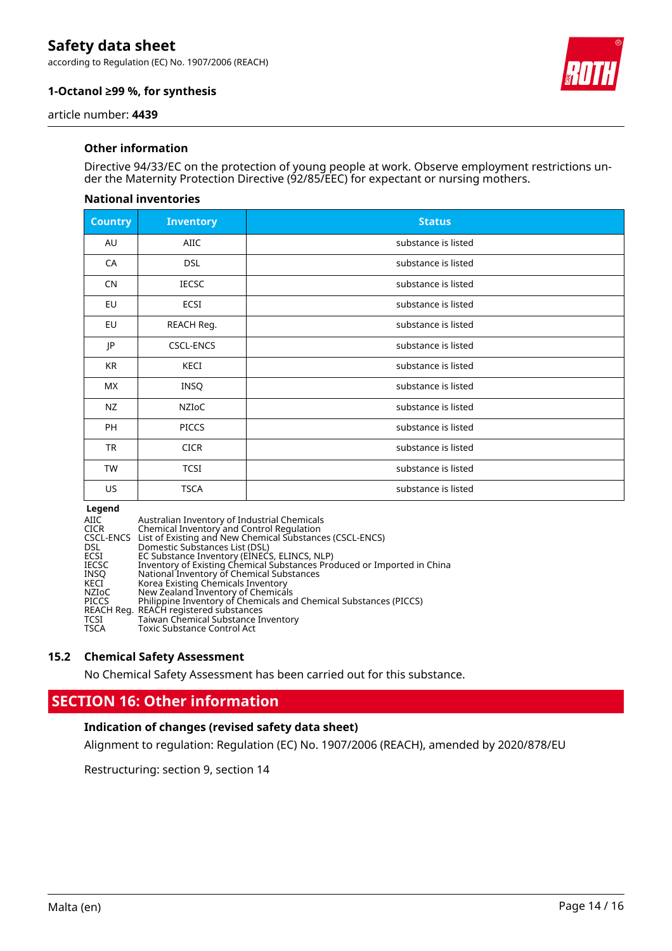according to Regulation (EC) No. 1907/2006 (REACH)



### **1-Octanol ≥99 %, for synthesis**

article number: **4439**

#### **Other information**

Directive 94/33/EC on the protection of young people at work. Observe employment restrictions under the Maternity Protection Directive (92/85/EEC) for expectant or nursing mothers.

#### **National inventories**

| <b>Country</b> | <b>Inventory</b> | <b>Status</b>       |
|----------------|------------------|---------------------|
| AU             | <b>AIIC</b>      | substance is listed |
| CA             | <b>DSL</b>       | substance is listed |
| <b>CN</b>      | <b>IECSC</b>     | substance is listed |
| EU             | ECSI             | substance is listed |
| EU             | REACH Reg.       | substance is listed |
| JP             | <b>CSCL-ENCS</b> | substance is listed |
| KR             | KECI             | substance is listed |
| МX             | INSQ             | substance is listed |
| <b>NZ</b>      | NZIOC            | substance is listed |
| PH             | <b>PICCS</b>     | substance is listed |
| <b>TR</b>      | <b>CICR</b>      | substance is listed |
| TW             | <b>TCSI</b>      | substance is listed |
| US.            | <b>TSCA</b>      | substance is listed |

#### **Legend**

| AIIC         | Australian Inventory of Industrial Chemicals                            |
|--------------|-------------------------------------------------------------------------|
| CICR         | Chemical Inventory and Control Regulation                               |
|              | CSCL-ENCS List of Existing and New Chemical Substances (CSCL-ENCS)      |
| DSL.         | Domestic Substances List (DSL)                                          |
| ECSI         | EC Substance Inventory (EINECS, ELINCS, NLP)                            |
| IECSC        | Inventory of Existing Chemical Substances Produced or Imported in China |
| INSO         | National Inventory of Chemical Substances                               |
| KECI         | Korea Existing Chemicals Inventory                                      |
| NZIoC        | New Zealand Inventory of Chemicals                                      |
| <b>PICCS</b> | Philippine Inventory of Chemicals and Chemical Substances (PICCS)       |
|              | REACH Reg. REACH registered substances                                  |
| TCSI         | Taiwan Chemical Substance Inventory                                     |
| TSCA         | <b>Toxic Substance Control Act</b>                                      |
|              |                                                                         |

#### **15.2 Chemical Safety Assessment**

No Chemical Safety Assessment has been carried out for this substance.

### **SECTION 16: Other information**

#### **Indication of changes (revised safety data sheet)**

Alignment to regulation: Regulation (EC) No. 1907/2006 (REACH), amended by 2020/878/EU

Restructuring: section 9, section 14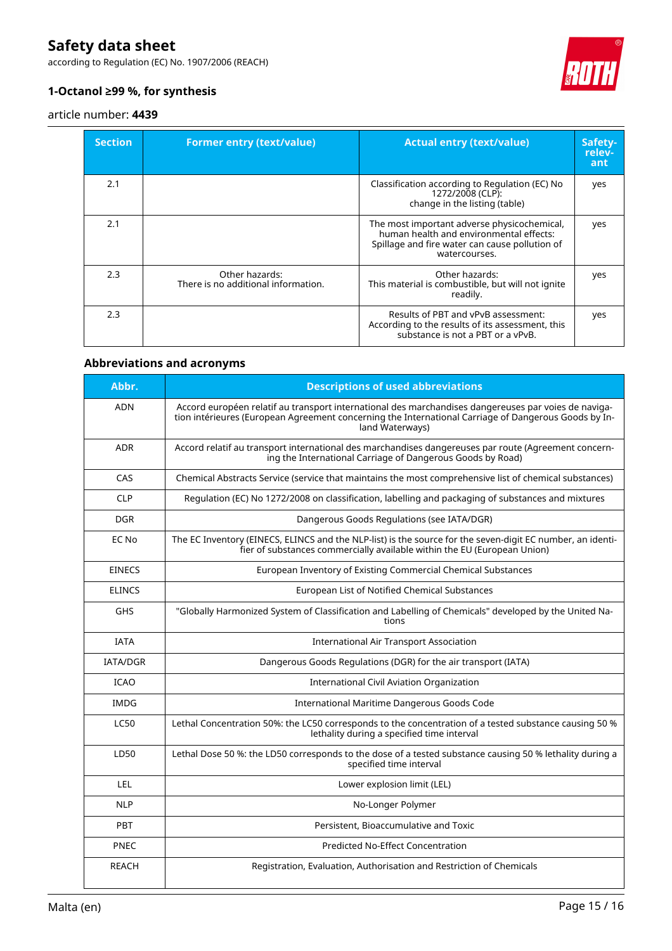according to Regulation (EC) No. 1907/2006 (REACH)



### **1-Octanol ≥99 %, for synthesis**

#### article number: **4439**

| <b>Section</b> | <b>Former entry (text/value)</b>                      | <b>Actual entry (text/value)</b>                                                                                                                          | Safety-<br>relev-<br>ant |
|----------------|-------------------------------------------------------|-----------------------------------------------------------------------------------------------------------------------------------------------------------|--------------------------|
| 2.1            |                                                       | Classification according to Regulation (EC) No<br>1272/2008 (CLP):<br>change in the listing (table)                                                       | yes                      |
| 2.1            |                                                       | The most important adverse physicochemical,<br>human health and environmental effects:<br>Spillage and fire water can cause pollution of<br>watercourses. | yes                      |
| 2.3            | Other hazards:<br>There is no additional information. | Other hazards:<br>This material is combustible, but will not ignite<br>readily.                                                                           | yes                      |
| 2.3            |                                                       | Results of PBT and vPvB assessment:<br>According to the results of its assessment, this<br>substance is not a PBT or a vPvB.                              | yes                      |

### **Abbreviations and acronyms**

| Abbr.           | <b>Descriptions of used abbreviations</b>                                                                                                                                                                                       |
|-----------------|---------------------------------------------------------------------------------------------------------------------------------------------------------------------------------------------------------------------------------|
| <b>ADN</b>      | Accord européen relatif au transport international des marchandises dangereuses par voies de naviga-<br>tion intérieures (European Agreement concerning the International Carriage of Dangerous Goods by In-<br>land Waterways) |
| <b>ADR</b>      | Accord relatif au transport international des marchandises dangereuses par route (Agreement concern-<br>ing the International Carriage of Dangerous Goods by Road)                                                              |
| CAS             | Chemical Abstracts Service (service that maintains the most comprehensive list of chemical substances)                                                                                                                          |
| <b>CLP</b>      | Regulation (EC) No 1272/2008 on classification, labelling and packaging of substances and mixtures                                                                                                                              |
| <b>DGR</b>      | Dangerous Goods Regulations (see IATA/DGR)                                                                                                                                                                                      |
| EC No           | The EC Inventory (EINECS, ELINCS and the NLP-list) is the source for the seven-digit EC number, an identi-<br>fier of substances commercially available within the EU (European Union)                                          |
| <b>EINECS</b>   | European Inventory of Existing Commercial Chemical Substances                                                                                                                                                                   |
| <b>ELINCS</b>   | European List of Notified Chemical Substances                                                                                                                                                                                   |
| <b>GHS</b>      | "Globally Harmonized System of Classification and Labelling of Chemicals" developed by the United Na-<br>tions                                                                                                                  |
| <b>TATA</b>     | International Air Transport Association                                                                                                                                                                                         |
| <b>IATA/DGR</b> | Dangerous Goods Regulations (DGR) for the air transport (IATA)                                                                                                                                                                  |
| <b>ICAO</b>     | <b>International Civil Aviation Organization</b>                                                                                                                                                                                |
| <b>IMDG</b>     | International Maritime Dangerous Goods Code                                                                                                                                                                                     |
| <b>LC50</b>     | Lethal Concentration 50%: the LC50 corresponds to the concentration of a tested substance causing 50 %<br>lethality during a specified time interval                                                                            |
| LD50            | Lethal Dose 50 %: the LD50 corresponds to the dose of a tested substance causing 50 % lethality during a<br>specified time interval                                                                                             |
| LEL.            | Lower explosion limit (LEL)                                                                                                                                                                                                     |
| <b>NLP</b>      | No-Longer Polymer                                                                                                                                                                                                               |
| PBT             | Persistent, Bioaccumulative and Toxic                                                                                                                                                                                           |
| <b>PNEC</b>     | <b>Predicted No-Effect Concentration</b>                                                                                                                                                                                        |
| <b>REACH</b>    | Registration, Evaluation, Authorisation and Restriction of Chemicals                                                                                                                                                            |